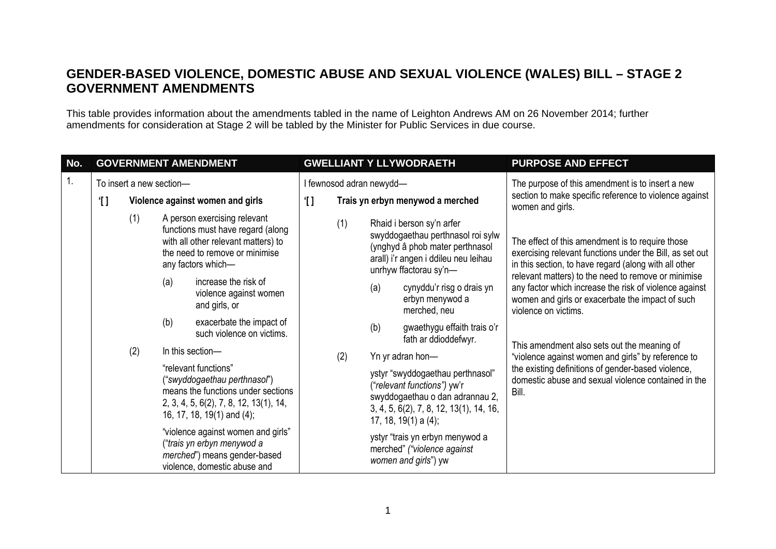## **GENDER-BASED VIOLENCE, DOMESTIC ABUSE AND SEXUAL VIOLENCE (WALES) BILL – STAGE 2 GOVERNMENT AMENDMENTS**

This table provides information about the amendments tabled in the name of Leighton Andrews AM on 26 November 2014; further amendments for consideration at Stage 2 will be tabled by the Minister for Public Services in due course.

| No. | <b>GOVERNMENT AMENDMENT</b>                        |  |     |                                                                                                                                                                    | <b>GWELLIANT Y LLYWODRAETH</b> |     |                                                                                                                                                                          |                                                                                                                                                                     | <b>PURPOSE AND EFFECT</b>                                                                                                                                             |
|-----|----------------------------------------------------|--|-----|--------------------------------------------------------------------------------------------------------------------------------------------------------------------|--------------------------------|-----|--------------------------------------------------------------------------------------------------------------------------------------------------------------------------|---------------------------------------------------------------------------------------------------------------------------------------------------------------------|-----------------------------------------------------------------------------------------------------------------------------------------------------------------------|
| 1.  | To insert a new section-                           |  |     | I fewnosod adran newydd-                                                                                                                                           |                                |     |                                                                                                                                                                          | The purpose of this amendment is to insert a new<br>section to make specific reference to violence against<br>women and girls.                                      |                                                                                                                                                                       |
|     | Violence against women and girls<br>$^{\prime}$ [] |  |     | Trais yn erbyn menywod a merched<br>ΊI                                                                                                                             |                                |     |                                                                                                                                                                          |                                                                                                                                                                     |                                                                                                                                                                       |
|     | (1)<br>(2)                                         |  |     | A person exercising relevant<br>functions must have regard (along<br>with all other relevant matters) to<br>the need to remove or minimise<br>any factors which-   |                                | (1) |                                                                                                                                                                          | Rhaid i berson sy'n arfer<br>swyddogaethau perthnasol roi sylw<br>(ynghyd â phob mater perthnasol<br>arall) i'r angen i ddileu neu leihau<br>unrhyw ffactorau sy'n- | The effect of this amendment is to require those<br>exercising relevant functions under the Bill, as set out<br>in this section, to have regard (along with all other |
|     |                                                    |  | (a) | increase the risk of<br>violence against women<br>and girls, or                                                                                                    |                                | (2) | (a)                                                                                                                                                                      | cynyddu'r risg o drais yn<br>erbyn menywod a<br>merched, neu<br>violence on victims.                                                                                | relevant matters) to the need to remove or minimise<br>any factor which increase the risk of violence against<br>women and girls or exacerbate the impact of such     |
|     |                                                    |  | (b) | exacerbate the impact of<br>such violence on victims.                                                                                                              |                                |     | (b)                                                                                                                                                                      | gwaethygu effaith trais o'r<br>fath ar ddioddefwyr.                                                                                                                 |                                                                                                                                                                       |
|     |                                                    |  |     | In this section-                                                                                                                                                   |                                |     | Yn yr adran hon-                                                                                                                                                         |                                                                                                                                                                     | This amendment also sets out the meaning of<br>"violence against women and girls" by reference to                                                                     |
|     |                                                    |  |     | "relevant functions"<br>("swyddogaethau perthnasol")<br>means the functions under sections<br>2, 3, 4, 5, 6(2), 7, 8, 12, 13(1), 14,<br>16, 17, 18, 19(1) and (4); |                                |     | ystyr "swyddogaethau perthnasol"<br>("relevant functions") yw'r<br>swyddogaethau o dan adrannau 2,<br>3, 4, 5, 6(2), 7, 8, 12, 13(1), 14, 16,<br>17, 18, 19(1) a $(4)$ ; |                                                                                                                                                                     | the existing definitions of gender-based violence,<br>domestic abuse and sexual violence contained in the<br>Bill.                                                    |
|     |                                                    |  |     | "violence against women and girls"<br>("trais yn erbyn menywod a<br>merched") means gender-based<br>violence, domestic abuse and                                   |                                |     |                                                                                                                                                                          | ystyr "trais yn erbyn menywod a<br>merched" ("violence against<br>women and girls") yw                                                                              |                                                                                                                                                                       |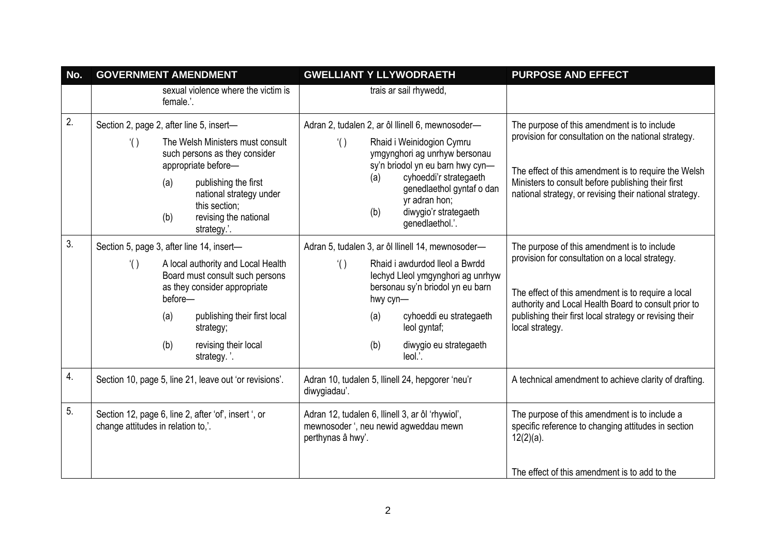| No. | <b>GOVERNMENT AMENDMENT</b>                                                                |                       |                                                                                                                                                                                                      |                                                                  | <b>GWELLIANT Y LLYWODRAETH</b> | <b>PURPOSE AND EFFECT</b>                                                                                                                                                                                                                    |                                                                                                                                                                                                                                                                                            |
|-----|--------------------------------------------------------------------------------------------|-----------------------|------------------------------------------------------------------------------------------------------------------------------------------------------------------------------------------------------|------------------------------------------------------------------|--------------------------------|----------------------------------------------------------------------------------------------------------------------------------------------------------------------------------------------------------------------------------------------|--------------------------------------------------------------------------------------------------------------------------------------------------------------------------------------------------------------------------------------------------------------------------------------------|
|     |                                                                                            | female.'.             | sexual violence where the victim is                                                                                                                                                                  |                                                                  |                                | trais ar sail rhywedd,                                                                                                                                                                                                                       |                                                                                                                                                                                                                                                                                            |
| 2.  | Section 2, page 2, after line 5, insert-                                                   |                       |                                                                                                                                                                                                      |                                                                  |                                | Adran 2, tudalen 2, ar ôl llinell 6, mewnosoder-                                                                                                                                                                                             | The purpose of this amendment is to include                                                                                                                                                                                                                                                |
|     | $^{\prime}()$                                                                              | (a)<br>(b)            | The Welsh Ministers must consult<br>such persons as they consider<br>appropriate before-<br>publishing the first<br>national strategy under<br>this section;<br>revising the national<br>strategy.'. | $^{\prime}()$                                                    | (a)<br>(b)                     | Rhaid i Weinidogion Cymru<br>ymgynghori ag unrhyw bersonau<br>sy'n briodol yn eu barn hwy cyn-<br>cyhoeddi'r strategaeth<br>genedlaethol gyntaf o dan<br>yr adran hon;<br>diwygio'r strategaeth<br>genedlaethol.'.                           | provision for consultation on the national strategy.<br>The effect of this amendment is to require the Welsh<br>Ministers to consult before publishing their first<br>national strategy, or revising their national strategy.                                                              |
| 3.  | Section 5, page 3, after line 14, insert-<br>$^{\prime}()$                                 | before-<br>(a)<br>(b) | A local authority and Local Health<br>Board must consult such persons<br>as they consider appropriate<br>publishing their first local<br>strategy;<br>revising their local<br>strategy.'.            | $^{\prime}()$                                                    | hwy cyn-<br>(a)<br>(b)         | Adran 5, tudalen 3, ar ôl llinell 14, mewnosoder-<br>Rhaid i awdurdod lleol a Bwrdd<br>lechyd Lleol ymgynghori ag unrhyw<br>bersonau sy'n briodol yn eu barn<br>cyhoeddi eu strategaeth<br>leol gyntaf;<br>diwygio eu strategaeth<br>leol.'. | The purpose of this amendment is to include<br>provision for consultation on a local strategy.<br>The effect of this amendment is to require a local<br>authority and Local Health Board to consult prior to<br>publishing their first local strategy or revising their<br>local strategy. |
| 4.  | Section 10, page 5, line 21, leave out 'or revisions'.                                     |                       |                                                                                                                                                                                                      | Adran 10, tudalen 5, Ilinell 24, hepgorer 'neu'r<br>diwygiadau'. |                                |                                                                                                                                                                                                                                              | A technical amendment to achieve clarity of drafting.                                                                                                                                                                                                                                      |
| 5.  | Section 12, page 6, line 2, after 'of', insert ', or<br>change attitudes in relation to,'. |                       |                                                                                                                                                                                                      | perthynas â hwy'.                                                |                                | Adran 12, tudalen 6, Ilinell 3, ar ôl 'rhywiol',<br>mewnosoder ', neu newid agweddau mewn                                                                                                                                                    | The purpose of this amendment is to include a<br>specific reference to changing attitudes in section<br>$12(2)(a)$ .<br>The effect of this amendment is to add to the                                                                                                                      |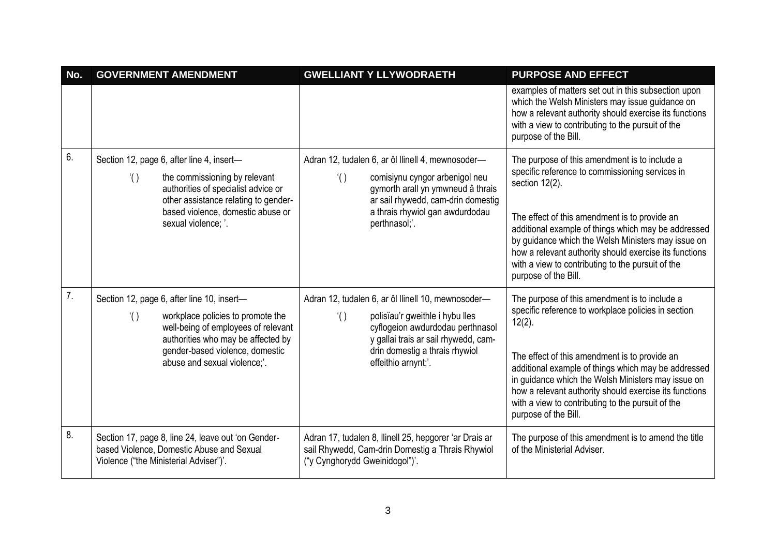| No. | <b>GOVERNMENT AMENDMENT</b>                                                                                                                                                                                                                      | <b>GWELLIANT Y LLYWODRAETH</b>                                                                                                                                                                                                              | <b>PURPOSE AND EFFECT</b>                                                                                                                                                                                                                                                                                                                                                                                                  |
|-----|--------------------------------------------------------------------------------------------------------------------------------------------------------------------------------------------------------------------------------------------------|---------------------------------------------------------------------------------------------------------------------------------------------------------------------------------------------------------------------------------------------|----------------------------------------------------------------------------------------------------------------------------------------------------------------------------------------------------------------------------------------------------------------------------------------------------------------------------------------------------------------------------------------------------------------------------|
|     |                                                                                                                                                                                                                                                  |                                                                                                                                                                                                                                             | examples of matters set out in this subsection upon<br>which the Welsh Ministers may issue guidance on<br>how a relevant authority should exercise its functions<br>with a view to contributing to the pursuit of the<br>purpose of the Bill.                                                                                                                                                                              |
| 6.  | Section 12, page 6, after line 4, insert-<br>$^{\prime}()$<br>the commissioning by relevant<br>authorities of specialist advice or<br>other assistance relating to gender-<br>based violence, domestic abuse or<br>sexual violence; '.           | Adran 12, tudalen 6, ar ôl llinell 4, mewnosoder-<br>$^{\prime}()$<br>comisiynu cyngor arbenigol neu<br>gymorth arall yn ymwneud â thrais<br>ar sail rhywedd, cam-drin domestig<br>a thrais rhywiol gan awdurdodau<br>perthnasol;'.         | The purpose of this amendment is to include a<br>specific reference to commissioning services in<br>section $12(2)$ .<br>The effect of this amendment is to provide an<br>additional example of things which may be addressed<br>by guidance which the Welsh Ministers may issue on<br>how a relevant authority should exercise its functions<br>with a view to contributing to the pursuit of the<br>purpose of the Bill. |
| 7.  | Section 12, page 6, after line 10, insert-<br>$^{\prime}()$<br>workplace policies to promote the<br>well-being of employees of relevant<br>authorities who may be affected by<br>gender-based violence, domestic<br>abuse and sexual violence;'. | Adran 12, tudalen 6, ar ôl llinell 10, mewnosoder-<br>polisïau'r gweithle i hybu lles<br>$^{\prime}()$<br>cyflogeion awdurdodau perthnasol<br>y gallai trais ar sail rhywedd, cam-<br>drin domestig a thrais rhywiol<br>effeithio arnynt;'. | The purpose of this amendment is to include a<br>specific reference to workplace policies in section<br>$12(2)$ .<br>The effect of this amendment is to provide an<br>additional example of things which may be addressed<br>in guidance which the Welsh Ministers may issue on<br>how a relevant authority should exercise its functions<br>with a view to contributing to the pursuit of the<br>purpose of the Bill.     |
| 8.  | Section 17, page 8, line 24, leave out 'on Gender-<br>based Violence, Domestic Abuse and Sexual<br>Violence ("the Ministerial Adviser")'.                                                                                                        | Adran 17, tudalen 8, Ilinell 25, hepgorer 'ar Drais ar<br>sail Rhywedd, Cam-drin Domestig a Thrais Rhywiol<br>("y Cynghorydd Gweinidogol")'.                                                                                                | The purpose of this amendment is to amend the title<br>of the Ministerial Adviser.                                                                                                                                                                                                                                                                                                                                         |